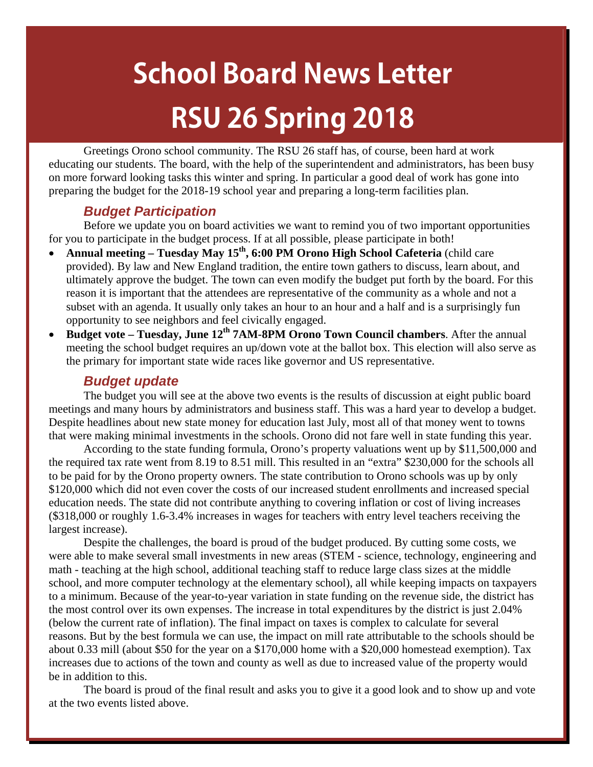# **School Board News Letter RSU 26 Spring 2018**

Greetings Orono school community. The RSU 26 staff has, of course, been hard at work educating our students. The board, with the help of the superintendent and administrators, has been busy on more forward looking tasks this winter and spring. In particular a good deal of work has gone into preparing the budget for the 2018-19 school year and preparing a long-term facilities plan.

## *Budget Participation*

Before we update you on board activities we want to remind you of two important opportunities for you to participate in the budget process. If at all possible, please participate in both!

- Annual meeting Tuesday May 15<sup>th</sup>, 6:00 PM Orono High School Cafeteria (child care provided). By law and New England tradition, the entire town gathers to discuss, learn about, and ultimately approve the budget. The town can even modify the budget put forth by the board. For this reason it is important that the attendees are representative of the community as a whole and not a subset with an agenda. It usually only takes an hour to an hour and a half and is a surprisingly fun opportunity to see neighbors and feel civically engaged.
- **Budget vote Tuesday, June 12<sup>th</sup> 7AM-8PM Orono Town Council chambers**. After the annual meeting the school budget requires an up/down vote at the ballot box. This election will also serve as the primary for important state wide races like governor and US representative.

### *Budget update*

The budget you will see at the above two events is the results of discussion at eight public board meetings and many hours by administrators and business staff. This was a hard year to develop a budget. Despite headlines about new state money for education last July, most all of that money went to towns that were making minimal investments in the schools. Orono did not fare well in state funding this year.

According to the state funding formula, Orono's property valuations went up by \$11,500,000 and the required tax rate went from 8.19 to 8.51 mill. This resulted in an "extra" \$230,000 for the schools all to be paid for by the Orono property owners. The state contribution to Orono schools was up by only \$120,000 which did not even cover the costs of our increased student enrollments and increased special education needs. The state did not contribute anything to covering inflation or cost of living increases (\$318,000 or roughly 1.6-3.4% increases in wages for teachers with entry level teachers receiving the largest increase).

Despite the challenges, the board is proud of the budget produced. By cutting some costs, we were able to make several small investments in new areas (STEM - science, technology, engineering and math - teaching at the high school, additional teaching staff to reduce large class sizes at the middle school, and more computer technology at the elementary school), all while keeping impacts on taxpayers to a minimum. Because of the year-to-year variation in state funding on the revenue side, the district has the most control over its own expenses. The increase in total expenditures by the district is just 2.04% (below the current rate of inflation). The final impact on taxes is complex to calculate for several reasons. But by the best formula we can use, the impact on mill rate attributable to the schools should be about 0.33 mill (about \$50 for the year on a \$170,000 home with a \$20,000 homestead exemption). Tax increases due to actions of the town and county as well as due to increased value of the property would be in addition to this.

The board is proud of the final result and asks you to give it a good look and to show up and vote at the two events listed above.